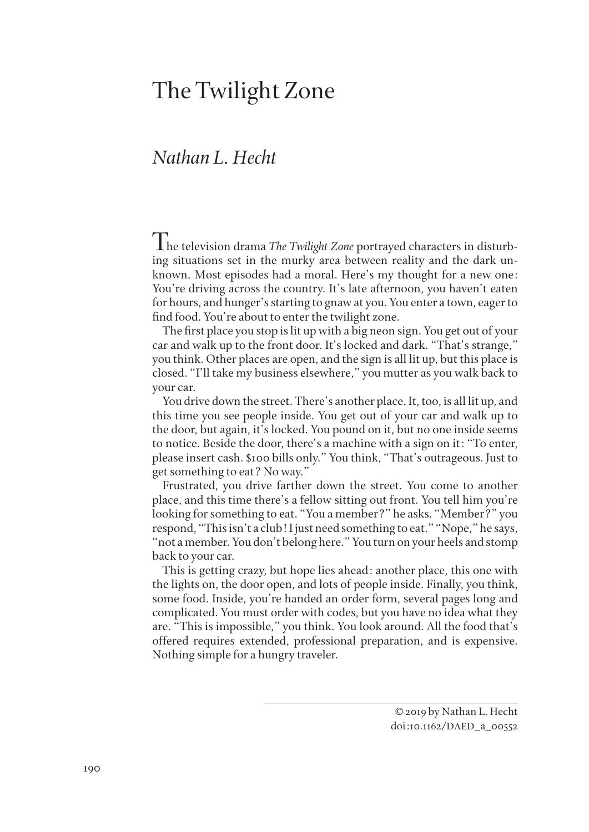## The Twilight Zone

## *Nathan L. Hecht*

The television drama *The Twilight Zone* portrayed characters in disturbing situations set in the murky area between reality and the dark unknown. Most episodes had a moral. Here's my thought for a new one: You're driving across the country. It's late afternoon, you haven't eaten for hours, and hunger's starting to gnaw at you. You enter a town, eager to find food. You're about to enter the twilight zone.

The first place you stop is lit up with a big neon sign. You get out of your car and walk up to the front door. It's locked and dark. "That's strange," you think. Other places are open, and the sign is all lit up, but this place is closed. "I'll take my business elsewhere," you mutter as you walk back to your car.

You drive down the street. There's another place. It, too, is all lit up, and this time you see people inside. You get out of your car and walk up to the door, but again, it's locked. You pound on it, but no one inside seems to notice. Beside the door, there's a machine with a sign on it: "To enter, please insert cash. \$100 bills only." You think, "That's outrageous. Just to get something to eat? No way."

Frustrated, you drive farther down the street. You come to another place, and this time there's a fellow sitting out front. You tell him you're looking for something to eat. "You a member?" he asks. "Member?" you respond, "This isn't a club! I just need something to eat." "Nope," he says, "not a member. You don't belong here." You turn on your heels and stomp back to your car.

This is getting crazy, but hope lies ahead: another place, this one with the lights on, the door open, and lots of people inside. Finally, you think, some food. Inside, you're handed an order form, several pages long and complicated. You must order with codes, but you have no idea what they are. "This is impossible," you think. You look around. All the food that's offered requires extended, professional preparation, and is expensive. Nothing simple for a hungry traveler.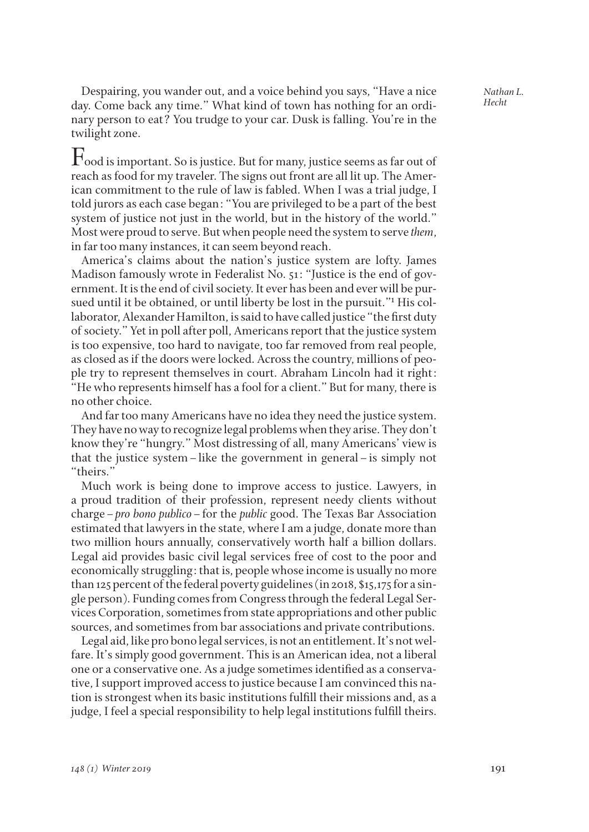*Nathan L. Hecht*

Despairing, you wander out, and a voice behind you says, "Have a nice day. Come back any time." What kind of town has nothing for an ordinary person to eat? You trudge to your car. Dusk is falling. You're in the twilight zone.

 $\Gamma$ ood is important. So is justice. But for many, justice seems as far out of reach as food for my traveler. The signs out front are all lit up. The American commitment to the rule of law is fabled. When I was a trial judge, I told jurors as each case began: "You are privileged to be a part of the best system of justice not just in the world, but in the history of the world." Most were proud to serve. But when people need the system to serve *them*, in far too many instances, it can seem beyond reach.

America's claims about the nation's justice system are lofty. James Madison famously wrote in Federalist No. 51: "Justice is the end of government. It is the end of civil society. It ever has been and ever will be pursued until it be obtained, or until liberty be lost in the pursuit."<sup>1</sup> His collaborator, Alexander Hamilton, is said to have called justice "the first duty of society." Yet in poll after poll, Americans report that the justice system is too expensive, too hard to navigate, too far removed from real people, as closed as if the doors were locked. Across the country, millions of people try to represent themselves in court. Abraham Lincoln had it right: "He who represents himself has a fool for a client." But for many, there is no other choice.

And far too many Americans have no idea they need the justice system. They have no way to recognize legal problems when they arise. They don't know they're "hungry." Most distressing of all, many Americans' view is that the justice system–like the government in general–is simply not "theirs."

Much work is being done to improve access to justice. Lawyers, in a proud tradition of their profession, represent needy clients without charge–*pro bono publico*–for the *public* good. The Texas Bar Association estimated that lawyers in the state, where I am a judge, donate more than two million hours annually, conservatively worth half a billion dollars. Legal aid provides basic civil legal services free of cost to the poor and economically struggling: that is, people whose income is usually no more than 125 percent of the federal poverty guidelines (in 2018, \$15,175 for a single person). Funding comes from Congress through the federal Legal Services Corporation, sometimes from state appropriations and other public sources, and sometimes from bar associations and private contributions.

Legal aid, like pro bono legal services, is not an entitlement. It's not welfare. It's simply good government. This is an American idea, not a liberal one or a conservative one. As a judge sometimes identified as a conservative, I support improved access to justice because I am convinced this nation is strongest when its basic institutions fulfill their missions and, as a judge, I feel a special responsibility to help legal institutions fulfill theirs.